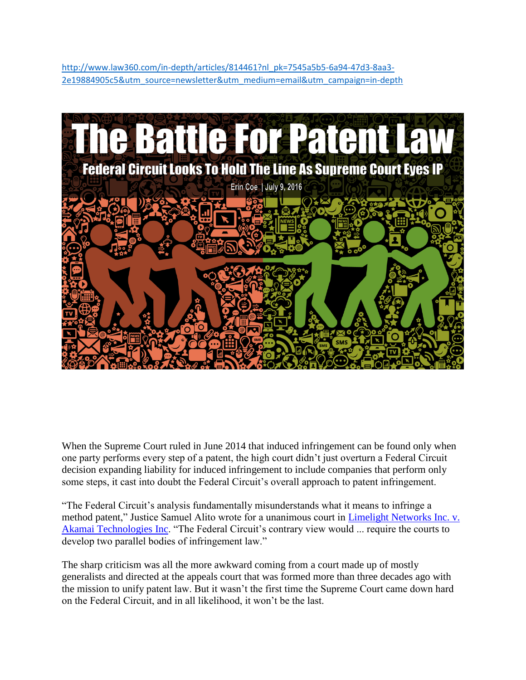[http://www.law360.com/in-depth/articles/814461?nl\\_pk=7545a5b5-6a94-47d3-8aa3-](http://www.law360.com/in-depth/articles/814461?nl_pk=7545a5b5-6a94-47d3-8aa3-2e19884905c5&utm_source=newsletter&utm_medium=email&utm_campaign=in-depth) [2e19884905c5&utm\\_source=newsletter&utm\\_medium=email&utm\\_campaign=in-depth](http://www.law360.com/in-depth/articles/814461?nl_pk=7545a5b5-6a94-47d3-8aa3-2e19884905c5&utm_source=newsletter&utm_medium=email&utm_campaign=in-depth)



When the Supreme Court ruled in June 2014 that induced infringement can be found only when one party performs every step of a patent, the high court didn't just overturn a Federal Circuit decision expanding liability for induced infringement to include companies that perform only some steps, it cast into doubt the Federal Circuit's overall approach to patent infringement.

"The Federal Circuit's analysis fundamentally misunderstands what it means to infringe a method patent," Justice Samuel Alito wrote for a unanimous court in [Limelight Networks Inc. v.](https://www.documentcloud.org/documents/2941465-Limelight-v-Akamai.html)  [Akamai Technologies Inc.](https://www.documentcloud.org/documents/2941465-Limelight-v-Akamai.html) "The Federal Circuit's contrary view would ... require the courts to develop two parallel bodies of infringement law."

The sharp criticism was all the more awkward coming from a court made up of mostly generalists and directed at the appeals court that was formed more than three decades ago with the mission to unify patent law. But it wasn't the first time the Supreme Court came down hard on the Federal Circuit, and in all likelihood, it won't be the last.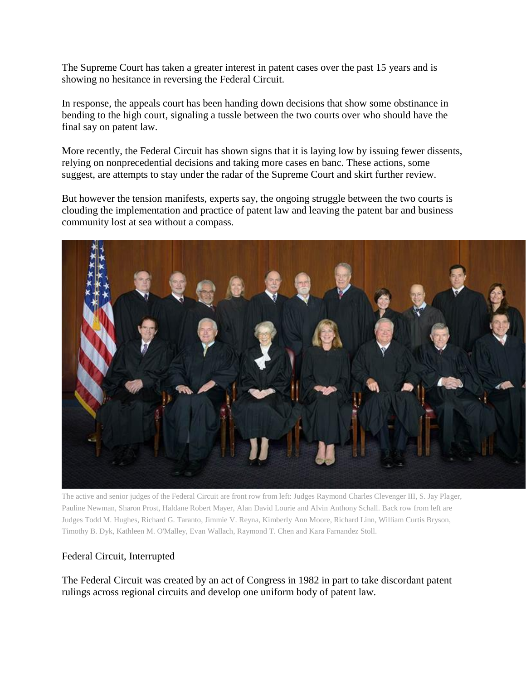The Supreme Court has taken a greater interest in patent cases over the past 15 years and is showing no hesitance in reversing the Federal Circuit.

In response, the appeals court has been handing down decisions that show some obstinance in bending to the high court, signaling a tussle between the two courts over who should have the final say on patent law.

More recently, the Federal Circuit has shown signs that it is laying low by issuing fewer dissents, relying on nonprecedential decisions and taking more cases en banc. These actions, some suggest, are attempts to stay under the radar of the Supreme Court and skirt further review.

But however the tension manifests, experts say, the ongoing struggle between the two courts is clouding the implementation and practice of patent law and leaving the patent bar and business community lost at sea without a compass.



The active and senior judges of the Federal Circuit are front row from left: Judges Raymond Charles Clevenger III, S. Jay Plager, Pauline Newman, Sharon Prost, Haldane Robert Mayer, Alan David Lourie and Alvin Anthony Schall. Back row from left are Judges Todd M. Hughes, Richard G. Taranto, Jimmie V. Reyna, Kimberly Ann Moore, Richard Linn, William Curtis Bryson, Timothy B. Dyk, Kathleen M. O'Malley, Evan Wallach, Raymond T. Chen and Kara Farnandez Stoll.

## Federal Circuit, Interrupted

The Federal Circuit was created by an act of Congress in 1982 in part to take discordant patent rulings across regional circuits and develop one uniform body of patent law.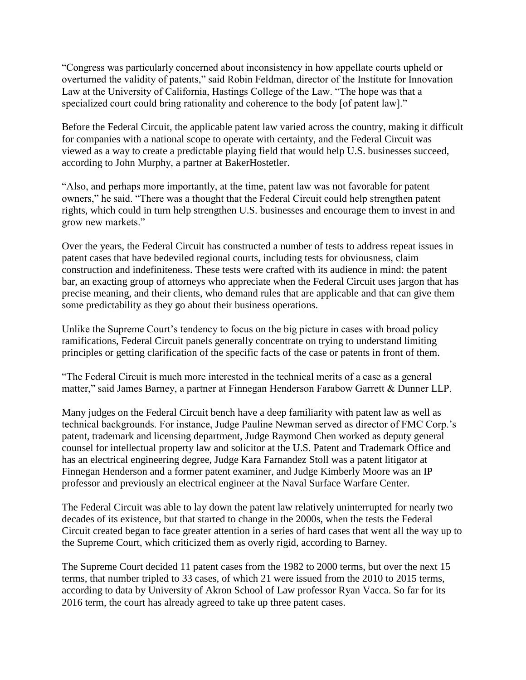"Congress was particularly concerned about inconsistency in how appellate courts upheld or overturned the validity of patents," said Robin Feldman, director of the Institute for Innovation Law at the University of California, Hastings College of the Law. "The hope was that a specialized court could bring rationality and coherence to the body [of patent law]."

Before the Federal Circuit, the applicable patent law varied across the country, making it difficult for companies with a national scope to operate with certainty, and the Federal Circuit was viewed as a way to create a predictable playing field that would help U.S. businesses succeed, according to John Murphy, a partner at BakerHostetler.

"Also, and perhaps more importantly, at the time, patent law was not favorable for patent owners," he said. "There was a thought that the Federal Circuit could help strengthen patent rights, which could in turn help strengthen U.S. businesses and encourage them to invest in and grow new markets."

Over the years, the Federal Circuit has constructed a number of tests to address repeat issues in patent cases that have bedeviled regional courts, including tests for obviousness, claim construction and indefiniteness. These tests were crafted with its audience in mind: the patent bar, an exacting group of attorneys who appreciate when the Federal Circuit uses jargon that has precise meaning, and their clients, who demand rules that are applicable and that can give them some predictability as they go about their business operations.

Unlike the Supreme Court's tendency to focus on the big picture in cases with broad policy ramifications, Federal Circuit panels generally concentrate on trying to understand limiting principles or getting clarification of the specific facts of the case or patents in front of them.

"The Federal Circuit is much more interested in the technical merits of a case as a general matter," said James Barney, a partner at Finnegan Henderson Farabow Garrett & Dunner LLP.

Many judges on the Federal Circuit bench have a deep familiarity with patent law as well as technical backgrounds. For instance, Judge Pauline Newman served as director of FMC Corp.'s patent, trademark and licensing department, Judge Raymond Chen worked as deputy general counsel for intellectual property law and solicitor at the U.S. Patent and Trademark Office and has an electrical engineering degree, Judge Kara Farnandez Stoll was a patent litigator at Finnegan Henderson and a former patent examiner, and Judge Kimberly Moore was an IP professor and previously an electrical engineer at the Naval Surface Warfare Center.

The Federal Circuit was able to lay down the patent law relatively uninterrupted for nearly two decades of its existence, but that started to change in the 2000s, when the tests the Federal Circuit created began to face greater attention in a series of hard cases that went all the way up to the Supreme Court, which criticized them as overly rigid, according to Barney.

The Supreme Court decided 11 patent cases from the 1982 to 2000 terms, but over the next 15 terms, that number tripled to 33 cases, of which 21 were issued from the 2010 to 2015 terms, according to data by University of Akron School of Law professor Ryan Vacca. So far for its 2016 term, the court has already agreed to take up three patent cases.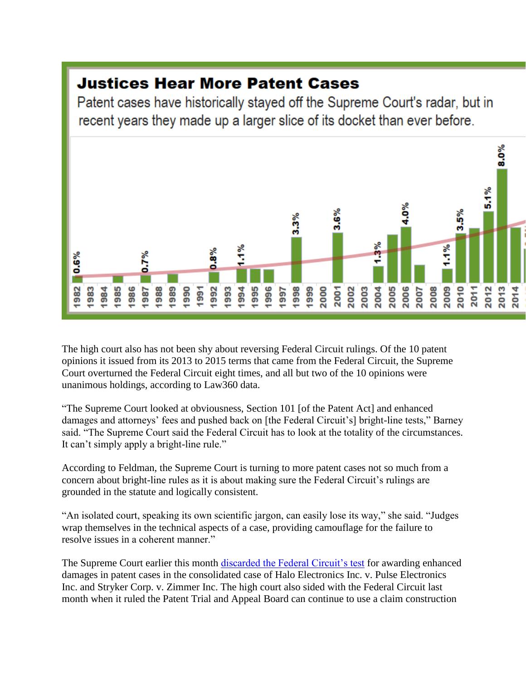## **Justices Hear More Patent Cases**

Patent cases have historically stayed off the Supreme Court's radar, but in recent years they made up a larger slice of its docket than ever before.



The high court also has not been shy about reversing Federal Circuit rulings. Of the 10 patent opinions it issued from its 2013 to 2015 terms that came from the Federal Circuit, the Supreme Court overturned the Federal Circuit eight times, and all but two of the 10 opinions were unanimous holdings, according to Law360 data.

"The Supreme Court looked at obviousness, Section 101 [of the Patent Act] and enhanced damages and attorneys' fees and pushed back on [the Federal Circuit's] bright-line tests," Barney said. "The Supreme Court said the Federal Circuit has to look at the totality of the circumstances. It can't simply apply a bright-line rule."

According to Feldman, the Supreme Court is turning to more patent cases not so much from a concern about bright-line rules as it is about making sure the Federal Circuit's rulings are grounded in the statute and logically consistent.

"An isolated court, speaking its own scientific jargon, can easily lose its way," she said. "Judges wrap themselves in the technical aspects of a case, providing camouflage for the failure to resolve issues in a coherent manner."

The Supreme Court earlier this month [discarded the Federal Circuit's test](https://www.law360.com/articles/763570/high-court-relaxes-standard-for-enhanced-patent-damages) for awarding enhanced damages in patent cases in the consolidated case of Halo Electronics Inc. v. Pulse Electronics Inc. and Stryker Corp. v. Zimmer Inc. The high court also sided with the Federal Circuit last month when it ruled the Patent Trial and Appeal Board can continue to use a claim construction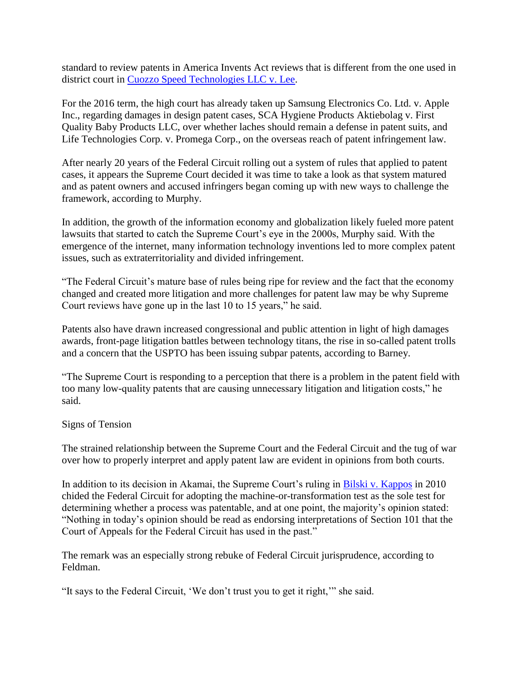standard to review patents in America Invents Act reviews that is different from the one used in district court in [Cuozzo Speed Technologies LLC v. Lee.](http://www.supremecourt.gov/opinions/15pdf/15-446_ihdk.pdf)

For the 2016 term, the high court has already taken up Samsung Electronics Co. Ltd. v. Apple Inc., regarding damages in design patent cases, SCA Hygiene Products Aktiebolag v. First Quality Baby Products LLC, over whether laches should remain a defense in patent suits, and Life Technologies Corp. v. Promega Corp., on the overseas reach of patent infringement law.

After nearly 20 years of the Federal Circuit rolling out a system of rules that applied to patent cases, it appears the Supreme Court decided it was time to take a look as that system matured and as patent owners and accused infringers began coming up with new ways to challenge the framework, according to Murphy.

In addition, the growth of the information economy and globalization likely fueled more patent lawsuits that started to catch the Supreme Court's eye in the 2000s, Murphy said. With the emergence of the internet, many information technology inventions led to more complex patent issues, such as extraterritoriality and divided infringement.

"The Federal Circuit's mature base of rules being ripe for review and the fact that the economy changed and created more litigation and more challenges for patent law may be why Supreme Court reviews have gone up in the last 10 to 15 years," he said.

Patents also have drawn increased congressional and public attention in light of high damages awards, front-page litigation battles between technology titans, the rise in so-called patent trolls and a concern that the USPTO has been issuing subpar patents, according to Barney.

"The Supreme Court is responding to a perception that there is a problem in the patent field with too many low-quality patents that are causing unnecessary litigation and litigation costs," he said.

## Signs of Tension

The strained relationship between the Supreme Court and the Federal Circuit and the tug of war over how to properly interpret and apply patent law are evident in opinions from both courts.

In addition to its decision in Akamai, the Supreme Court's ruling in [Bilski v. Kappos](http://www.supremecourt.gov/opinions/09pdf/08-964.pdf) in 2010 chided the Federal Circuit for adopting the machine-or-transformation test as the sole test for determining whether a process was patentable, and at one point, the majority's opinion stated: "Nothing in today's opinion should be read as endorsing interpretations of Section 101 that the Court of Appeals for the Federal Circuit has used in the past."

The remark was an especially strong rebuke of Federal Circuit jurisprudence, according to Feldman.

"It says to the Federal Circuit, 'We don't trust you to get it right,'" she said.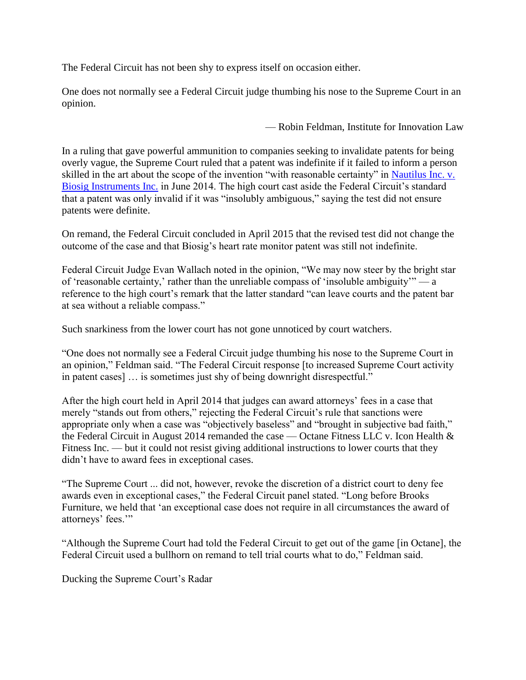The Federal Circuit has not been shy to express itself on occasion either.

One does not normally see a Federal Circuit judge thumbing his nose to the Supreme Court in an opinion.

— Robin Feldman, Institute for Innovation Law

In a ruling that gave powerful ammunition to companies seeking to invalidate patents for being overly vague, the Supreme Court ruled that a patent was indefinite if it failed to inform a person skilled in the art about the scope of the invention "with reasonable certainty" in [Nautilus Inc. v.](http://www.supremecourt.gov/opinions/13pdf/13-369_1idf.pdf)  [Biosig Instruments Inc.](http://www.supremecourt.gov/opinions/13pdf/13-369_1idf.pdf) in June 2014. The high court cast aside the Federal Circuit's standard that a patent was only invalid if it was "insolubly ambiguous," saying the test did not ensure patents were definite.

On remand, the Federal Circuit concluded in April 2015 that the revised test did not change the outcome of the case and that Biosig's heart rate monitor patent was still not indefinite.

Federal Circuit Judge Evan Wallach noted in the opinion, "We may now steer by the bright star of 'reasonable certainty,' rather than the unreliable compass of 'insoluble ambiguity'" — a reference to the high court's remark that the latter standard "can leave courts and the patent bar at sea without a reliable compass."

Such snarkiness from the lower court has not gone unnoticed by court watchers.

"One does not normally see a Federal Circuit judge thumbing his nose to the Supreme Court in an opinion," Feldman said. "The Federal Circuit response [to increased Supreme Court activity in patent cases] … is sometimes just shy of being downright disrespectful."

After the high court held in April 2014 that judges can award attorneys' fees in a case that merely "stands out from others," rejecting the Federal Circuit's rule that sanctions were appropriate only when a case was "objectively baseless" and "brought in subjective bad faith," the Federal Circuit in August 2014 remanded the case — Octane Fitness LLC v. Icon Health & Fitness Inc. — but it could not resist giving additional instructions to lower courts that they didn't have to award fees in exceptional cases.

"The Supreme Court ... did not, however, revoke the discretion of a district court to deny fee awards even in exceptional cases," the Federal Circuit panel stated. "Long before Brooks Furniture, we held that 'an exceptional case does not require in all circumstances the award of attorneys' fees."

"Although the Supreme Court had told the Federal Circuit to get out of the game [in Octane], the Federal Circuit used a bullhorn on remand to tell trial courts what to do," Feldman said.

Ducking the Supreme Court's Radar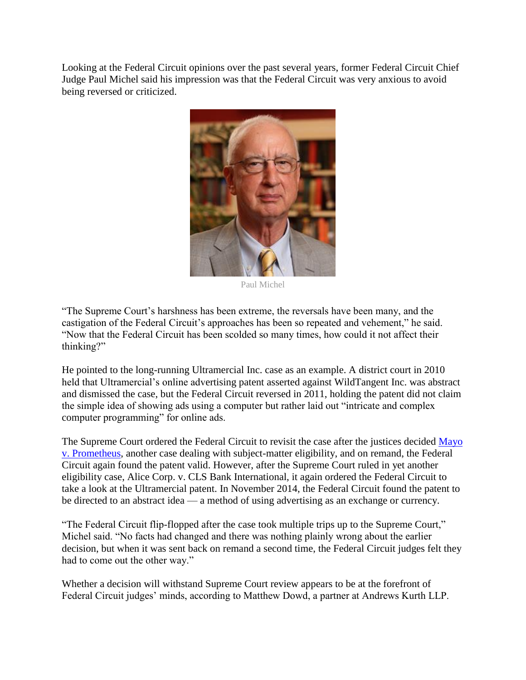Looking at the Federal Circuit opinions over the past several years, former Federal Circuit Chief Judge Paul Michel said his impression was that the Federal Circuit was very anxious to avoid being reversed or criticized.



Paul Michel

"The Supreme Court's harshness has been extreme, the reversals have been many, and the castigation of the Federal Circuit's approaches has been so repeated and vehement," he said. "Now that the Federal Circuit has been scolded so many times, how could it not affect their thinking?"

He pointed to the long-running Ultramercial Inc. case as an example. A district court in 2010 held that Ultramercial's online advertising patent asserted against WildTangent Inc. was abstract and dismissed the case, but the Federal Circuit reversed in 2011, holding the patent did not claim the simple idea of showing ads using a computer but rather laid out "intricate and complex computer programming" for online ads.

The Supreme Court ordered the Federal Circuit to revisit the case after the justices decided Mayo [v. Prometheus,](http://www.supremecourt.gov/opinions/11pdf/10-1150.pdf) another case dealing with subject-matter eligibility, and on remand, the Federal Circuit again found the patent valid. However, after the Supreme Court ruled in yet another eligibility case, Alice Corp. v. CLS Bank International, it again ordered the Federal Circuit to take a look at the Ultramercial patent. In November 2014, the Federal Circuit found the patent to be directed to an abstract idea — a method of using advertising as an exchange or currency.

"The Federal Circuit flip-flopped after the case took multiple trips up to the Supreme Court," Michel said. "No facts had changed and there was nothing plainly wrong about the earlier decision, but when it was sent back on remand a second time, the Federal Circuit judges felt they had to come out the other way."

Whether a decision will withstand Supreme Court review appears to be at the forefront of Federal Circuit judges' minds, according to Matthew Dowd, a partner at Andrews Kurth LLP.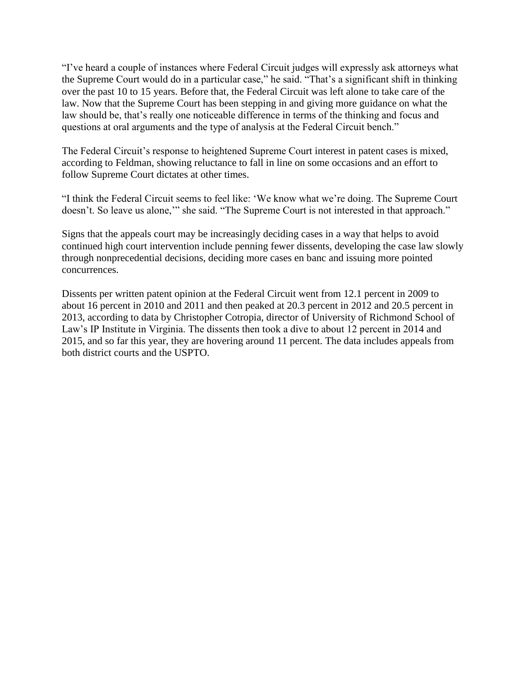"I've heard a couple of instances where Federal Circuit judges will expressly ask attorneys what the Supreme Court would do in a particular case," he said. "That's a significant shift in thinking over the past 10 to 15 years. Before that, the Federal Circuit was left alone to take care of the law. Now that the Supreme Court has been stepping in and giving more guidance on what the law should be, that's really one noticeable difference in terms of the thinking and focus and questions at oral arguments and the type of analysis at the Federal Circuit bench."

The Federal Circuit's response to heightened Supreme Court interest in patent cases is mixed, according to Feldman, showing reluctance to fall in line on some occasions and an effort to follow Supreme Court dictates at other times.

"I think the Federal Circuit seems to feel like: 'We know what we're doing. The Supreme Court doesn't. So leave us alone,'" she said. "The Supreme Court is not interested in that approach."

Signs that the appeals court may be increasingly deciding cases in a way that helps to avoid continued high court intervention include penning fewer dissents, developing the case law slowly through nonprecedential decisions, deciding more cases en banc and issuing more pointed concurrences.

Dissents per written patent opinion at the Federal Circuit went from 12.1 percent in 2009 to about 16 percent in 2010 and 2011 and then peaked at 20.3 percent in 2012 and 20.5 percent in 2013, according to data by Christopher Cotropia, director of University of Richmond School of Law's IP Institute in Virginia. The dissents then took a dive to about 12 percent in 2014 and 2015, and so far this year, they are hovering around 11 percent. The data includes appeals from both district courts and the USPTO.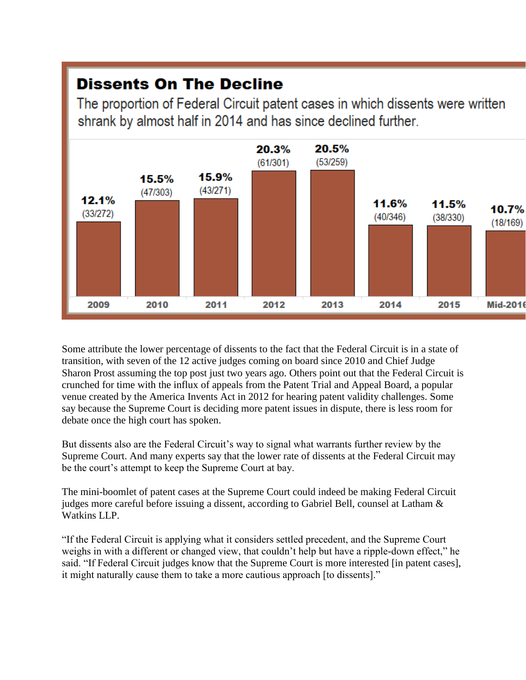## **Dissents On The Decline**

The proportion of Federal Circuit patent cases in which dissents were written shrank by almost half in 2014 and has since declined further.



Some attribute the lower percentage of dissents to the fact that the Federal Circuit is in a state of transition, with seven of the 12 active judges coming on board since 2010 and Chief Judge Sharon Prost assuming the top post just two years ago. Others point out that the Federal Circuit is crunched for time with the influx of appeals from the Patent Trial and Appeal Board, a popular venue created by the America Invents Act in 2012 for hearing patent validity challenges. Some say because the Supreme Court is deciding more patent issues in dispute, there is less room for debate once the high court has spoken.

But dissents also are the Federal Circuit's way to signal what warrants further review by the Supreme Court. And many experts say that the lower rate of dissents at the Federal Circuit may be the court's attempt to keep the Supreme Court at bay.

The mini-boomlet of patent cases at the Supreme Court could indeed be making Federal Circuit judges more careful before issuing a dissent, according to Gabriel Bell, counsel at Latham & Watkins LLP.

"If the Federal Circuit is applying what it considers settled precedent, and the Supreme Court weighs in with a different or changed view, that couldn't help but have a ripple-down effect," he said. "If Federal Circuit judges know that the Supreme Court is more interested [in patent cases], it might naturally cause them to take a more cautious approach [to dissents]."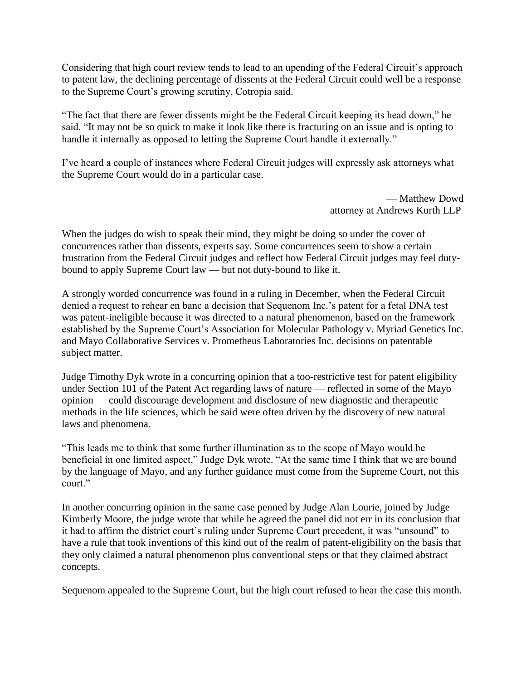Considering that high court review tends to lead to an upending of the Federal Circuit's approach to patent law, the declining percentage of dissents at the Federal Circuit could well be a response to the Supreme Court's growing scrutiny, Cotropia said.

"The fact that there are fewer dissents might be the Federal Circuit keeping its head down," he said. "It may not be so quick to make it look like there is fracturing on an issue and is opting to handle it internally as opposed to letting the Supreme Court handle it externally."

I've heard a couple of instances where Federal Circuit judges will expressly ask attorneys what the Supreme Court would do in a particular case.

> — Matthew Dowd attorney at Andrews Kurth LLP

When the judges do wish to speak their mind, they might be doing so under the cover of concurrences rather than dissents, experts say. Some concurrences seem to show a certain frustration from the Federal Circuit judges and reflect how Federal Circuit judges may feel dutybound to apply Supreme Court law — but not duty-bound to like it.

A strongly worded concurrence was found in a ruling in December, when the Federal Circuit denied a request to rehear en banc a decision that Sequenom Inc.'s patent for a fetal DNA test was patent-ineligible because it was directed to a natural phenomenon, based on the framework established by the Supreme Court's Association for Molecular Pathology v. Myriad Genetics Inc. and Mayo Collaborative Services v. Prometheus Laboratories Inc. decisions on patentable subject matter.

Judge Timothy Dyk wrote in a concurring opinion that a too-restrictive test for patent eligibility under Section 101 of the Patent Act regarding laws of nature — reflected in some of the Mayo opinion — could discourage development and disclosure of new diagnostic and therapeutic methods in the life sciences, which he said were often driven by the discovery of new natural laws and phenomena.

"This leads me to think that some further illumination as to the scope of Mayo would be beneficial in one limited aspect," Judge Dyk wrote. "At the same time I think that we are bound by the language of Mayo, and any further guidance must come from the Supreme Court, not this court."

In another concurring opinion in the same case penned by Judge Alan Lourie, joined by Judge Kimberly Moore, the judge wrote that while he agreed the panel did not err in its conclusion that it had to affirm the district court's ruling under Supreme Court precedent, it was "unsound" to have a rule that took inventions of this kind out of the realm of patent-eligibility on the basis that they only claimed a natural phenomenon plus conventional steps or that they claimed abstract concepts.

Sequenom appealed to the Supreme Court, but the high court refused to hear the case this month.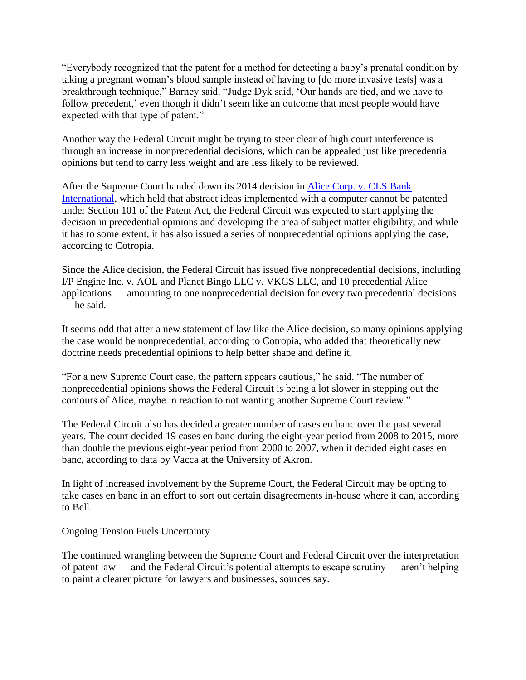"Everybody recognized that the patent for a method for detecting a baby's prenatal condition by taking a pregnant woman's blood sample instead of having to [do more invasive tests] was a breakthrough technique," Barney said. "Judge Dyk said, 'Our hands are tied, and we have to follow precedent,' even though it didn't seem like an outcome that most people would have expected with that type of patent."

Another way the Federal Circuit might be trying to steer clear of high court interference is through an increase in nonprecedential decisions, which can be appealed just like precedential opinions but tend to carry less weight and are less likely to be reviewed.

After the Supreme Court handed down its 2014 decision in [Alice Corp. v. CLS Bank](http://www.supremecourt.gov/opinions/13pdf/13-298_7lh8.pdf)  [International,](http://www.supremecourt.gov/opinions/13pdf/13-298_7lh8.pdf) which held that abstract ideas implemented with a computer cannot be patented under Section 101 of the Patent Act, the Federal Circuit was expected to start applying the decision in precedential opinions and developing the area of subject matter eligibility, and while it has to some extent, it has also issued a series of nonprecedential opinions applying the case, according to Cotropia.

Since the Alice decision, the Federal Circuit has issued five nonprecedential decisions, including I/P Engine Inc. v. AOL and Planet Bingo LLC v. VKGS LLC, and 10 precedential Alice applications — amounting to one nonprecedential decision for every two precedential decisions — he said.

It seems odd that after a new statement of law like the Alice decision, so many opinions applying the case would be nonprecedential, according to Cotropia, who added that theoretically new doctrine needs precedential opinions to help better shape and define it.

"For a new Supreme Court case, the pattern appears cautious," he said. "The number of nonprecedential opinions shows the Federal Circuit is being a lot slower in stepping out the contours of Alice, maybe in reaction to not wanting another Supreme Court review."

The Federal Circuit also has decided a greater number of cases en banc over the past several years. The court decided 19 cases en banc during the eight-year period from 2008 to 2015, more than double the previous eight-year period from 2000 to 2007, when it decided eight cases en banc, according to data by Vacca at the University of Akron.

In light of increased involvement by the Supreme Court, the Federal Circuit may be opting to take cases en banc in an effort to sort out certain disagreements in-house where it can, according to Bell.

Ongoing Tension Fuels Uncertainty

The continued wrangling between the Supreme Court and Federal Circuit over the interpretation of patent law — and the Federal Circuit's potential attempts to escape scrutiny — aren't helping to paint a clearer picture for lawyers and businesses, sources say.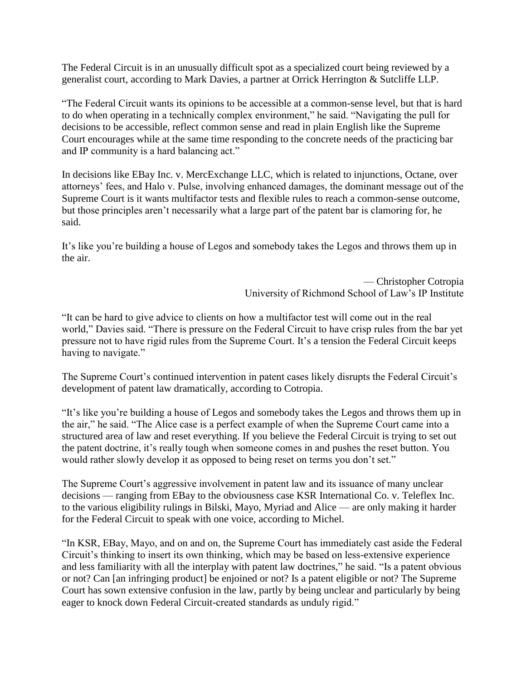The Federal Circuit is in an unusually difficult spot as a specialized court being reviewed by a generalist court, according to Mark Davies, a partner at Orrick Herrington & Sutcliffe LLP.

"The Federal Circuit wants its opinions to be accessible at a common-sense level, but that is hard to do when operating in a technically complex environment," he said. "Navigating the pull for decisions to be accessible, reflect common sense and read in plain English like the Supreme Court encourages while at the same time responding to the concrete needs of the practicing bar and IP community is a hard balancing act."

In decisions like EBay Inc. v. MercExchange LLC, which is related to injunctions, Octane, over attorneys' fees, and Halo v. Pulse, involving enhanced damages, the dominant message out of the Supreme Court is it wants multifactor tests and flexible rules to reach a common-sense outcome, but those principles aren't necessarily what a large part of the patent bar is clamoring for, he said.

It's like you're building a house of Legos and somebody takes the Legos and throws them up in the air.

> — Christopher Cotropia University of Richmond School of Law's IP Institute

"It can be hard to give advice to clients on how a multifactor test will come out in the real world," Davies said. "There is pressure on the Federal Circuit to have crisp rules from the bar yet pressure not to have rigid rules from the Supreme Court. It's a tension the Federal Circuit keeps having to navigate."

The Supreme Court's continued intervention in patent cases likely disrupts the Federal Circuit's development of patent law dramatically, according to Cotropia.

"It's like you're building a house of Legos and somebody takes the Legos and throws them up in the air," he said. "The Alice case is a perfect example of when the Supreme Court came into a structured area of law and reset everything. If you believe the Federal Circuit is trying to set out the patent doctrine, it's really tough when someone comes in and pushes the reset button. You would rather slowly develop it as opposed to being reset on terms you don't set."

The Supreme Court's aggressive involvement in patent law and its issuance of many unclear decisions — ranging from EBay to the obviousness case KSR International Co. v. Teleflex Inc. to the various eligibility rulings in Bilski, Mayo, Myriad and Alice — are only making it harder for the Federal Circuit to speak with one voice, according to Michel.

"In KSR, EBay, Mayo, and on and on, the Supreme Court has immediately cast aside the Federal Circuit's thinking to insert its own thinking, which may be based on less-extensive experience and less familiarity with all the interplay with patent law doctrines," he said. "Is a patent obvious or not? Can [an infringing product] be enjoined or not? Is a patent eligible or not? The Supreme Court has sown extensive confusion in the law, partly by being unclear and particularly by being eager to knock down Federal Circuit-created standards as unduly rigid."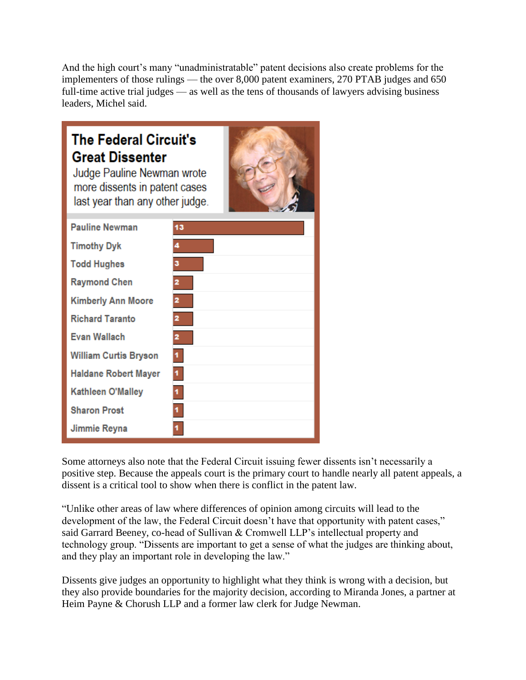And the high court's many "unadministratable" patent decisions also create problems for the implementers of those rulings — the over 8,000 patent examiners, 270 PTAB judges and 650 full-time active trial judges — as well as the tens of thousands of lawyers advising business leaders, Michel said.

| <b>The Federal Circuit's</b><br><b>Great Dissenter</b><br>Judge Pauline Newman wrote<br>more dissents in patent cases<br>last year than any other judge. |    |
|----------------------------------------------------------------------------------------------------------------------------------------------------------|----|
| <b>Pauline Newman</b>                                                                                                                                    | 13 |
| <b>Timothy Dyk</b>                                                                                                                                       |    |
| <b>Todd Hughes</b>                                                                                                                                       | 3  |
| <b>Raymond Chen</b>                                                                                                                                      | 2  |
| <b>Kimberly Ann Moore</b>                                                                                                                                |    |
| <b>Richard Taranto</b>                                                                                                                                   | 2  |
| <b>Evan Wallach</b>                                                                                                                                      | 2  |
| <b>William Curtis Bryson</b>                                                                                                                             |    |
| Haldane Robert Mayer                                                                                                                                     |    |
| Kathleen O'Malley                                                                                                                                        | 1  |
| <b>Sharon Prost</b>                                                                                                                                      |    |
| Jimmie Reyna                                                                                                                                             |    |

Some attorneys also note that the Federal Circuit issuing fewer dissents isn't necessarily a positive step. Because the appeals court is the primary court to handle nearly all patent appeals, a dissent is a critical tool to show when there is conflict in the patent law.

"Unlike other areas of law where differences of opinion among circuits will lead to the development of the law, the Federal Circuit doesn't have that opportunity with patent cases," said Garrard Beeney, co-head of Sullivan & Cromwell LLP's intellectual property and technology group. "Dissents are important to get a sense of what the judges are thinking about, and they play an important role in developing the law."

Dissents give judges an opportunity to highlight what they think is wrong with a decision, but they also provide boundaries for the majority decision, according to Miranda Jones, a partner at Heim Payne & Chorush LLP and a former law clerk for Judge Newman.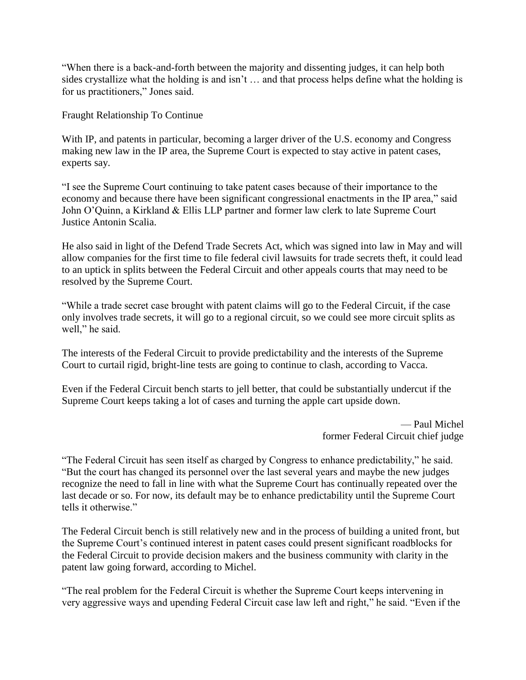"When there is a back-and-forth between the majority and dissenting judges, it can help both sides crystallize what the holding is and isn't … and that process helps define what the holding is for us practitioners," Jones said.

Fraught Relationship To Continue

With IP, and patents in particular, becoming a larger driver of the U.S. economy and Congress making new law in the IP area, the Supreme Court is expected to stay active in patent cases, experts say.

"I see the Supreme Court continuing to take patent cases because of their importance to the economy and because there have been significant congressional enactments in the IP area," said John O'Quinn, a Kirkland & Ellis LLP partner and former law clerk to late Supreme Court Justice Antonin Scalia.

He also said in light of the Defend Trade Secrets Act, which was signed into law in May and will allow companies for the first time to file federal civil lawsuits for trade secrets theft, it could lead to an uptick in splits between the Federal Circuit and other appeals courts that may need to be resolved by the Supreme Court.

"While a trade secret case brought with patent claims will go to the Federal Circuit, if the case only involves trade secrets, it will go to a regional circuit, so we could see more circuit splits as well," he said.

The interests of the Federal Circuit to provide predictability and the interests of the Supreme Court to curtail rigid, bright-line tests are going to continue to clash, according to Vacca.

Even if the Federal Circuit bench starts to jell better, that could be substantially undercut if the Supreme Court keeps taking a lot of cases and turning the apple cart upside down.

> — Paul Michel former Federal Circuit chief judge

"The Federal Circuit has seen itself as charged by Congress to enhance predictability," he said. "But the court has changed its personnel over the last several years and maybe the new judges recognize the need to fall in line with what the Supreme Court has continually repeated over the last decade or so. For now, its default may be to enhance predictability until the Supreme Court tells it otherwise."

The Federal Circuit bench is still relatively new and in the process of building a united front, but the Supreme Court's continued interest in patent cases could present significant roadblocks for the Federal Circuit to provide decision makers and the business community with clarity in the patent law going forward, according to Michel.

"The real problem for the Federal Circuit is whether the Supreme Court keeps intervening in very aggressive ways and upending Federal Circuit case law left and right," he said. "Even if the